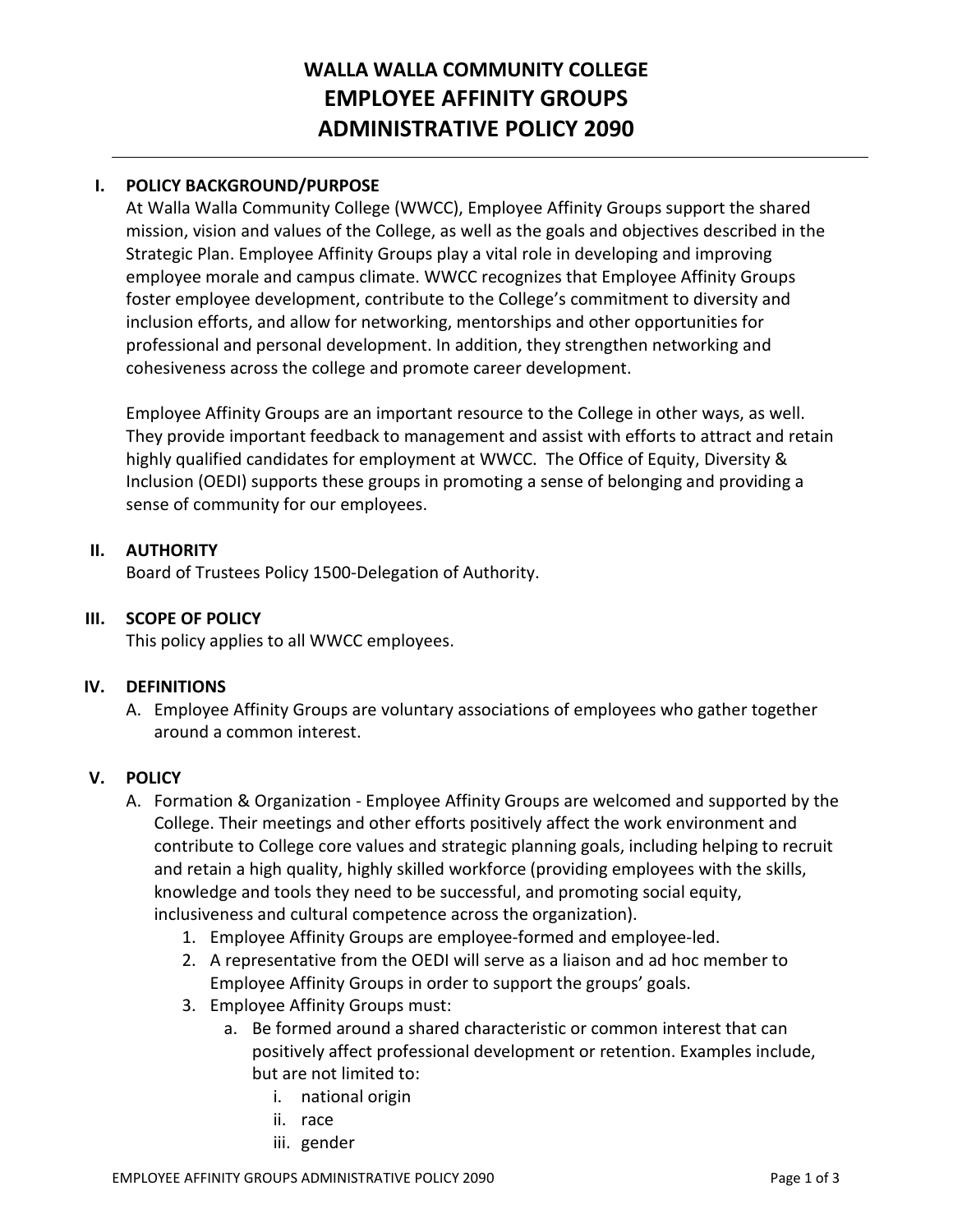# **WALLA WALLA COMMUNITY COLLEGE EMPLOYEE AFFINITY GROUPS ADMINISTRATIVE POLICY 2090**

## **I. POLICY BACKGROUND/PURPOSE**

At Walla Walla Community College (WWCC), Employee Affinity Groups support the shared mission, vision and values of the College, as well as the goals and objectives described in the Strategic Plan. Employee Affinity Groups play a vital role in developing and improving employee morale and campus climate. WWCC recognizes that Employee Affinity Groups foster employee development, contribute to the College's commitment to diversity and inclusion efforts, and allow for networking, mentorships and other opportunities for professional and personal development. In addition, they strengthen networking and cohesiveness across the college and promote career development.

Employee Affinity Groups are an important resource to the College in other ways, as well. They provide important feedback to management and assist with efforts to attract and retain highly qualified candidates for employment at WWCC. The Office of Equity, Diversity & Inclusion (OEDI) supports these groups in promoting a sense of belonging and providing a sense of community for our employees.

### **II. AUTHORITY**

Board of Trustees Policy 1500-Delegation of Authority.

#### **III. SCOPE OF POLICY**

This policy applies to all WWCC employees.

#### **IV. DEFINITIONS**

A. Employee Affinity Groups are voluntary associations of employees who gather together around a common interest.

### **V. POLICY**

- A. Formation & Organization Employee Affinity Groups are welcomed and supported by the College. Their meetings and other efforts positively affect the work environment and contribute to College core values and strategic planning goals, including helping to recruit and retain a high quality, highly skilled workforce (providing employees with the skills, knowledge and tools they need to be successful, and promoting social equity, inclusiveness and cultural competence across the organization).
	- 1. Employee Affinity Groups are employee-formed and employee-led.
	- 2. A representative from the OEDI will serve as a liaison and ad hoc member to Employee Affinity Groups in order to support the groups' goals.
	- 3. Employee Affinity Groups must:
		- a. Be formed around a shared characteristic or common interest that can positively affect professional development or retention. Examples include, but are not limited to:
			- i. national origin
			- ii. race
			- iii. gender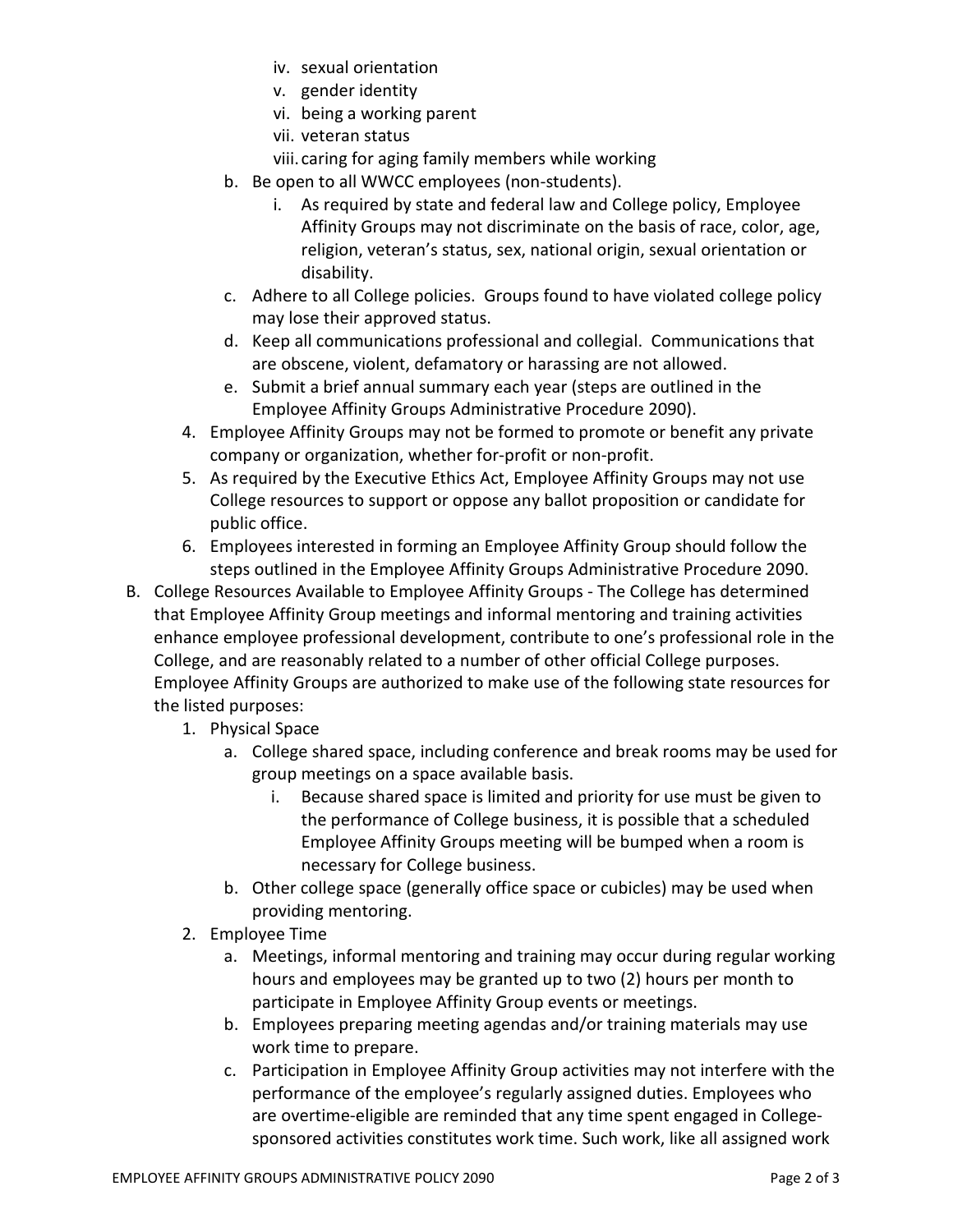- iv. sexual orientation
- v. gender identity
- vi. being a working parent
- vii. veteran status
- viii. caring for aging family members while working
- b. Be open to all WWCC employees (non-students).
	- i. As required by state and federal law and College policy, Employee Affinity Groups may not discriminate on the basis of race, color, age, religion, veteran's status, sex, national origin, sexual orientation or disability.
- c. Adhere to all College policies. Groups found to have violated college policy may lose their approved status.
- d. Keep all communications professional and collegial. Communications that are obscene, violent, defamatory or harassing are not allowed.
- e. Submit a brief annual summary each year (steps are outlined in the Employee Affinity Groups Administrative Procedure 2090).
- 4. Employee Affinity Groups may not be formed to promote or benefit any private company or organization, whether for-profit or non-profit.
- 5. As required by the Executive Ethics Act, Employee Affinity Groups may not use College resources to support or oppose any ballot proposition or candidate for public office.
- 6. Employees interested in forming an Employee Affinity Group should follow the steps outlined in the Employee Affinity Groups Administrative Procedure 2090.
- B. College Resources Available to Employee Affinity Groups The College has determined that Employee Affinity Group meetings and informal mentoring and training activities enhance employee professional development, contribute to one's professional role in the College, and are reasonably related to a number of other official College purposes. Employee Affinity Groups are authorized to make use of the following state resources for the listed purposes:
	- 1. Physical Space
		- a. College shared space, including conference and break rooms may be used for group meetings on a space available basis.
			- i. Because shared space is limited and priority for use must be given to the performance of College business, it is possible that a scheduled Employee Affinity Groups meeting will be bumped when a room is necessary for College business.
		- b. Other college space (generally office space or cubicles) may be used when providing mentoring.
	- 2. Employee Time
		- a. Meetings, informal mentoring and training may occur during regular working hours and employees may be granted up to two (2) hours per month to participate in Employee Affinity Group events or meetings.
		- b. Employees preparing meeting agendas and/or training materials may use work time to prepare.
		- c. Participation in Employee Affinity Group activities may not interfere with the performance of the employee's regularly assigned duties. Employees who are overtime-eligible are reminded that any time spent engaged in Collegesponsored activities constitutes work time. Such work, like all assigned work